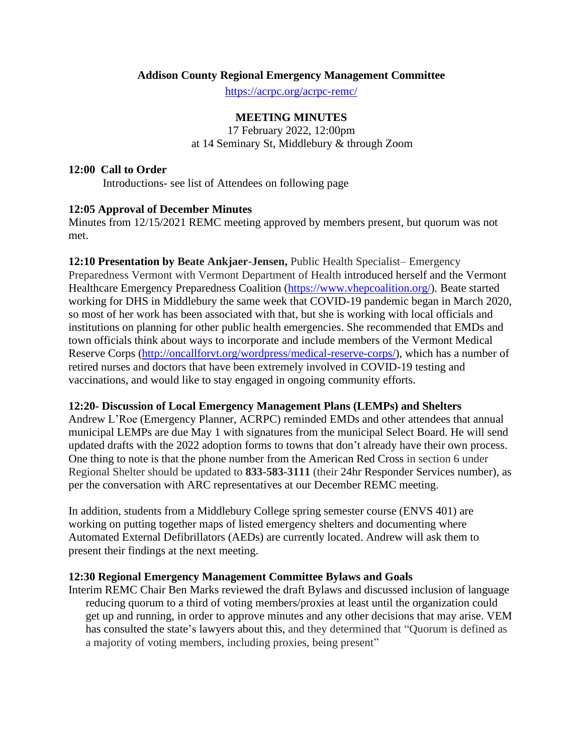### **Addison County Regional Emergency Management Committee**

<https://acrpc.org/acrpc-remc/>

#### **MEETING MINUTES**

17 February 2022, 12:00pm at 14 Seminary St, Middlebury & through Zoom

#### **12:00 Call to Order**

Introductions- see list of Attendees on following page

# **12:05 Approval of December Minutes**

Minutes from 12/15/2021 REMC meeting approved by members present, but quorum was not met.

**12:10 Presentation by Beate Ankjaer-Jensen,** Public Health Specialist– Emergency Preparedness Vermont with Vermont Department of Health introduced herself and the Vermont Healthcare Emergency Preparedness Coalition [\(https://www.vhepcoalition.org/\)](https://www.vhepcoalition.org/). Beate started working for DHS in Middlebury the same week that COVID-19 pandemic began in March 2020, so most of her work has been associated with that, but she is working with local officials and institutions on planning for other public health emergencies. She recommended that EMDs and town officials think about ways to incorporate and include members of the Vermont Medical Reserve Corps [\(http://oncallforvt.org/wordpress/medical-reserve-corps/\)](http://oncallforvt.org/wordpress/medical-reserve-corps/), which has a number of retired nurses and doctors that have been extremely involved in COVID-19 testing and vaccinations, and would like to stay engaged in ongoing community efforts.

#### **12:20- Discussion of Local Emergency Management Plans (LEMPs) and Shelters**

Andrew L'Roe (Emergency Planner, ACRPC) reminded EMDs and other attendees that annual municipal LEMPs are due May 1 with signatures from the municipal Select Board. He will send updated drafts with the 2022 adoption forms to towns that don't already have their own process. One thing to note is that the phone number from the American Red Cross in section 6 under Regional Shelter should be updated to **833-583-3111** (their 24hr Responder Services number), as per the conversation with ARC representatives at our December REMC meeting.

In addition, students from a Middlebury College spring semester course (ENVS 401) are working on putting together maps of listed emergency shelters and documenting where Automated External Defibrillators (AEDs) are currently located. Andrew will ask them to present their findings at the next meeting.

#### **12:30 Regional Emergency Management Committee Bylaws and Goals**

Interim REMC Chair Ben Marks reviewed the draft Bylaws and discussed inclusion of language reducing quorum to a third of voting members/proxies at least until the organization could get up and running, in order to approve minutes and any other decisions that may arise. VEM has consulted the state's lawyers about this, and they determined that "Quorum is defined as a majority of voting members, including proxies, being present"